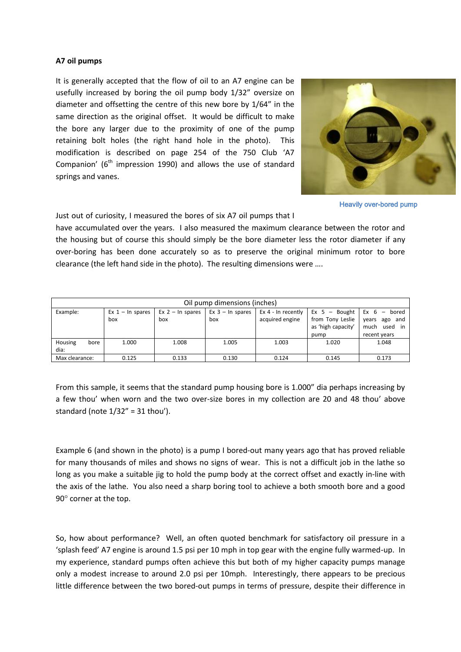## **A7 oil pumps**

It is generally accepted that the flow of oil to an A7 engine can be usefully increased by boring the oil pump body 1/32" oversize on diameter and offsetting the centre of this new bore by 1/64" in the same direction as the original offset. It would be difficult to make the bore any larger due to the proximity of one of the pump retaining bolt holes (the right hand hole in the photo). This modification is described on page 254 of the 750 Club 'A7 Companion' ( $6<sup>th</sup>$  impression 1990) and allows the use of standard springs and vanes.



Heavily over-bored pump

Just out of curiosity, I measured the bores of six A7 oil pumps that I

have accumulated over the years. I also measured the maximum clearance between the rotor and the housing but of course this should simply be the bore diameter less the rotor diameter if any over-boring has been done accurately so as to preserve the original minimum rotor to bore clearance (the left hand side in the photo). The resulting dimensions were ….

| Oil pump dimensions (inches) |                            |                           |                           |                                       |                                                                   |                                                                         |
|------------------------------|----------------------------|---------------------------|---------------------------|---------------------------------------|-------------------------------------------------------------------|-------------------------------------------------------------------------|
| Example:                     | Ex $1 - \ln$ spares<br>box | $Ex$ 2 – In spares<br>box | $Ex 3 - In spares$<br>box | Ex 4 - In recently<br>acquired engine | $Ex 5 - Bought$<br>from Tony Leslie<br>as 'high capacity'<br>pump | Ex 6<br>bored<br>and<br>years<br>ago<br>used in<br>much<br>recent years |
| Housing<br>bore<br>dia:      | 1.000                      | 1.008                     | 1.005                     | 1.003                                 | 1.020                                                             | 1.048                                                                   |
| Max clearance:               | 0.125                      | 0.133                     | 0.130                     | 0.124                                 | 0.145                                                             | 0.173                                                                   |

From this sample, it seems that the standard pump housing bore is 1.000" dia perhaps increasing by a few thou' when worn and the two over-size bores in my collection are 20 and 48 thou' above standard (note  $1/32'' = 31$  thou').

Example 6 (and shown in the photo) is a pump I bored-out many years ago that has proved reliable for many thousands of miles and shows no signs of wear. This is not a difficult job in the lathe so long as you make a suitable jig to hold the pump body at the correct offset and exactly in-line with the axis of the lathe. You also need a sharp boring tool to achieve a both smooth bore and a good  $90^\circ$  corner at the top.

So, how about performance? Well, an often quoted benchmark for satisfactory oil pressure in a 'splash feed' A7 engine is around 1.5 psi per 10 mph in top gear with the engine fully warmed-up. In my experience, standard pumps often achieve this but both of my higher capacity pumps manage only a modest increase to around 2.0 psi per 10mph. Interestingly, there appears to be precious little difference between the two bored-out pumps in terms of pressure, despite their difference in